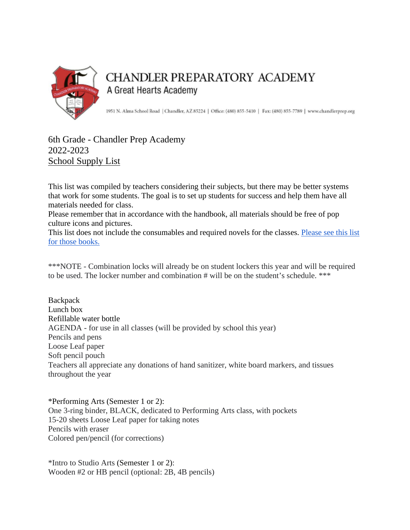

## **CHANDLER PREPARATORY ACADEMY** A Great Hearts Academy

1951 N. Alma School Road | Chandler, AZ 85224 | Office: (480) 855-5410 | Fax: (480) 855-7789 | www.chandlerprep.org

## 6th Grade - Chandler Prep Academy 2022-2023 School Supply List

This list was compiled by teachers considering their subjects, but there may be better systems that work for some students. The goal is to set up students for success and help them have all materials needed for class.

Please remember that in accordance with the handbook, all materials should be free of pop culture icons and pictures.

This list does not include the consumables and required novels for the classes. [Please see this list](https://chandlerprep.greatheartsamerica.org/academics/booksupply-lists/)  [for those books.](https://chandlerprep.greatheartsamerica.org/academics/booksupply-lists/)

\*\*\*NOTE - Combination locks will already be on student lockers this year and will be required to be used. The locker number and combination # will be on the student's schedule. \*\*\*

**Backpack** Lunch box Refillable water bottle AGENDA - for use in all classes (will be provided by school this year) Pencils and pens Loose Leaf paper Soft pencil pouch Teachers all appreciate any donations of hand sanitizer, white board markers, and tissues throughout the year

\*Performing Arts (Semester 1 or 2): One 3-ring binder, BLACK, dedicated to Performing Arts class, with pockets 15-20 sheets Loose Leaf paper for taking notes Pencils with eraser Colored pen/pencil (for corrections)

\*Intro to Studio Arts (Semester 1 or 2): Wooden #2 or HB pencil (optional: 2B, 4B pencils)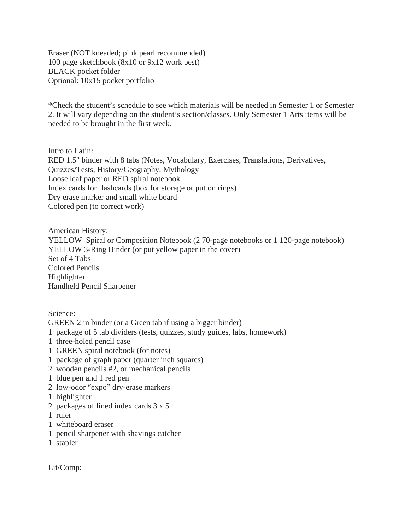Eraser (NOT kneaded; pink pearl recommended) 100 page sketchbook (8x10 or 9x12 work best) BLACK pocket folder Optional: 10x15 pocket portfolio

\*Check the student's schedule to see which materials will be needed in Semester 1 or Semester 2. It will vary depending on the student's section/classes. Only Semester 1 Arts items will be needed to be brought in the first week.

Intro to Latin: RED 1.5" binder with 8 tabs (Notes, Vocabulary, Exercises, Translations, Derivatives, Quizzes/Tests, History/Geography, Mythology Loose leaf paper or RED spiral notebook Index cards for flashcards (box for storage or put on rings) Dry erase marker and small white board Colored pen (to correct work)

American History: YELLOW Spiral or Composition Notebook (2 70-page notebooks or 1 120-page notebook) YELLOW 3-Ring Binder (or put yellow paper in the cover) Set of 4 Tabs Colored Pencils Highlighter Handheld Pencil Sharpener

Science:

GREEN 2 in binder (or a Green tab if using a bigger binder)

- 1 package of 5 tab dividers (tests, quizzes, study guides, labs, homework)
- 1 three-holed pencil case
- 1 GREEN spiral notebook (for notes)
- 1 package of graph paper (quarter inch squares)
- 2 wooden pencils #2, or mechanical pencils
- 1 blue pen and 1 red pen
- 2 low-odor "expo" dry-erase markers
- 1 highlighter
- 2 packages of lined index cards 3 x 5
- 1 ruler
- 1 whiteboard eraser
- 1 pencil sharpener with shavings catcher
- 1 stapler

Lit/Comp: